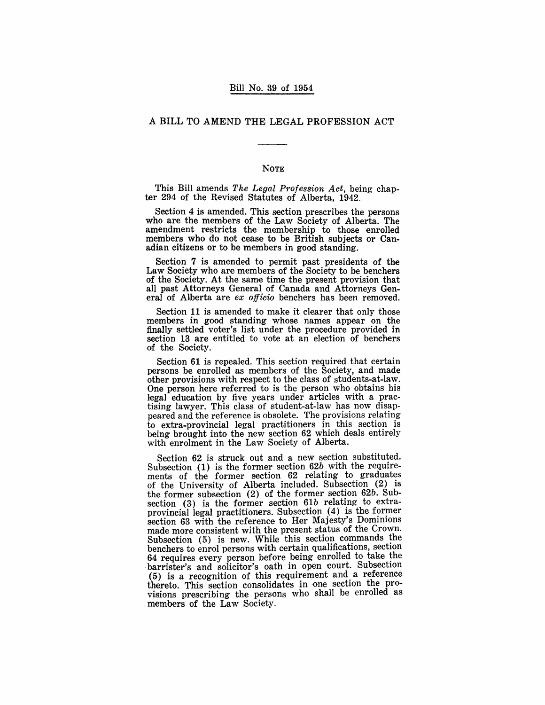#### A BILL TO AMEND THE LEGAL PROFESSION ACT

#### NOTE

This Bill amends *The Legal Profession Act,* being chapter 294 of the Revised Statutes of Alberta, 1942.

Section 4 is amended. This section prescribes the persons who are the members of the Law Society of Alberta. The amendment restricts the membership to those enrolled members who do not cease to be British subjects or Canadian citizens or to be members in good standing.

Section 7 is amended to permit past presidents of the Law Society who are members of the Society to be benchers of the Society. At the same time the present provision that all past Attorneys General of Canada and Attorneys General of Alberta are *ex officio* benchers has been removed.

Section 11 is amended to make it clearer that only those members in good standing whose names appear on the finally settled voter's list under the procedure provided in section 13 are entitled to vote at an election of benchers of the Society.

Section 61 is repealed. This section required that certain persons be enrolled as members of the Society, and made other provisions with respect to the class of students-at-law. One person here referred to is the person who obtains his legal education by five years under articles with a practising lawyer. This class of student-at-Iaw has now disappeared and the reference is obsolete. The provisions relating to extra-provincial legal practitioners in this section is being brought into the new section 62 which deals entirely with enrolment in the Law Society of Alberta.

Section 62 is struck out and a new section substituted. Subsection (1) is the former section 62b with the requirements of the former section 62 relating to graduates of the University of Alberta included. Subsection  $(2)$  is the former subsection (2) of the former section *62b.* Subsection (3) is the former section 61b relating to extraprovincial legal practitioners. Subsection (4) is the former section 63 with the reference to Her Majesty's Dominions made more consistent with the present status of the Crown. Subsection  $(5)$  is new. While this section commands the benchers to enrol persons with certain qualifications, section 64 requires every person before being enrolled to take the barrister's and solicitor's oath in open court. Subsection  $(5)$  is a recognition of this requirement and a reference thereto. This section consolidates in one section the provisions prescribing the persons who shall be enrolled as members of the Law Society.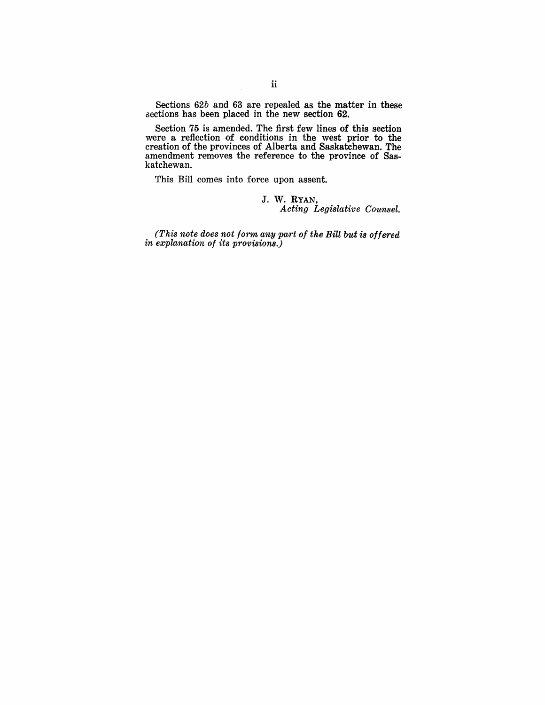Sections 62b and 63 are repealed as the matter in these sections has been placed in the new section 62.

Section 75 is amended. The first few lines of this section were a reflection of conditions in the west prior to the creation of the provinces of Alberta and Saskatchewan. The amendment removes the reference to the province of Saskatchewan.

This Bill comes into force upon assent.

J. W. RYAN, *Acting Legislative Counsel.* 

*(This note does not form any part of the Bill but is offered in explanation of its provisions.)*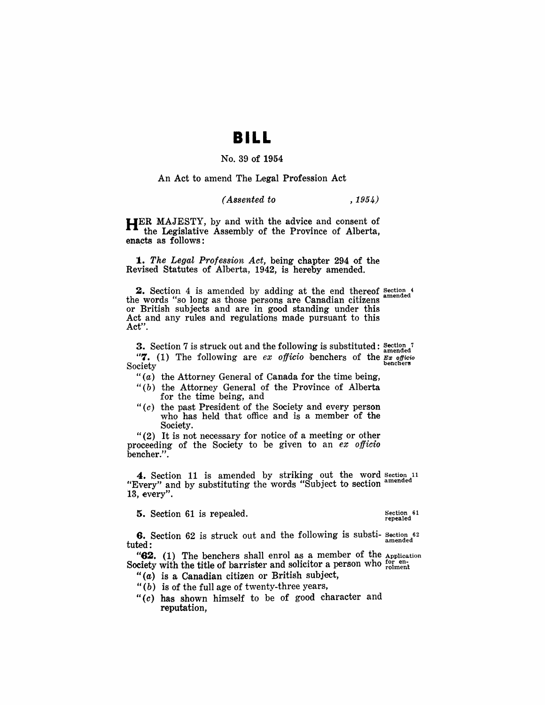# **BILL**

### No. 39 of 1954

An Act to amend The Legal Profession Act

*(Assented to* , 1954)

HER MAJESTY, by and with the advice and consent of the Legislative Assembly of the Province of Alberta, enacts as follows:

*1. The Legal Profession Act,* being chapter 294 of the Revised Statutes of Alberta, 1942, is hereby amended.

**2.** Section 4 is amended by adding at the end thereof section  $\frac{4}{3}$  amended. the words "so long as those persons are Canadian citizens or British subjects and are in good standing under this Act and any rules and regulations made pursuant to this Act".

3. Section 7 is struck out and the following is substituted:  $\frac{3 \text{cm}}{\text{amended}}$ **7.** (1) The following are *ex officio* benchers of the Ex officio Society

" $(a)$  the Attorney General of Canada for the time being,

- $"$ (b) the Attorney General of the Province of Alberta for the time being, and
- " $(c)$  the past President of the Society and every person who has held that office and is a member of the Society.

"(2) It is not necessary for notice of a meeting or other proceeding of the Society to be given to an *ex officio* bencher.".

**4.** Section 11 is amended by striking out the word section  $11$ "Every" and by substituting the words "Subject to section" 13, every".

5. Section 61 is repealed. Section 61 is repealed.

6. Section 62 is struck out and the following is substi- Section 62 tuted:

"62. (1) The benchers shall enrol as a member of the Application Society with the title of barrister and solicitor a person who  $_{\rm {rolment}}^{$  for en-

- "(a) is a Canadian citizen or British subject,
- " $(b)$  is of the full age of twenty-three years,
- " $(c)$  has shown himself to be of good character and reputation,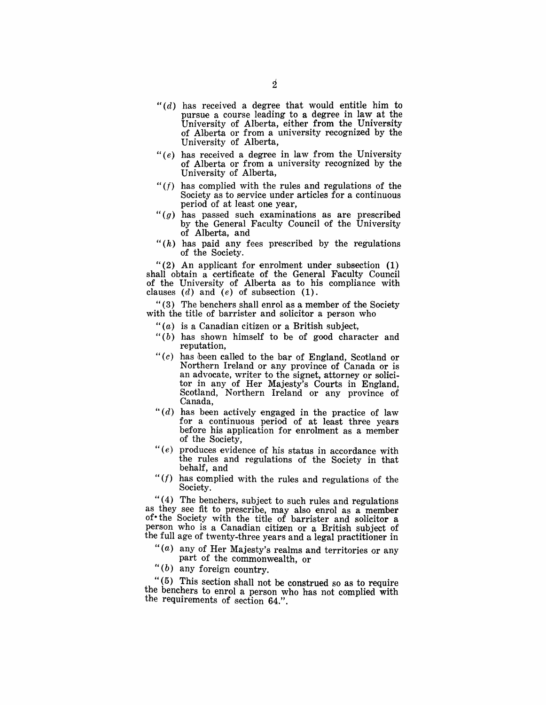- $H(d)$  has received a degree that would entitle him to pursue a course leading to a degree in law at the University of Alberta, either from the University of Alberta or from a university recognized by the University of Alberta,
- *"(e)* has received a degree in law from the University of Alberta or from a university recognized by the University of Alberta,
- $f'(f)$  has complied with the rules and regulations of the Society as to service under articles for a continuous period of at least one year,
- *"(g)* has passed such examinations as are prescribed by the General Faculty Council of the University of Alberta, and
- " $(h)$  has paid any fees prescribed by the regulations of the Society.

"(2) An applicant for enrolment under subsection (1) shall obtain a certificate of the General Faculty Council of the University of Alberta as to his compliance with clauses  $(d)$  and  $(e)$  of subsection  $(1)$ .

" (3) The benchers shall enrol as a member of the Society with the title of barrister and solicitor a person who

- " $(a)$  is a Canadian citizen or a British subject,
- $f(b)$  has shown himself to be of good character and reputation,
- " $(c)$  has been called to the bar of England, Scotland or Northern Ireland or any province of Canada or is an advocate, writer to the signet, attorney or solicitor in any of Her Majesty's Courts in England, Scotland, Northern Ireland or any province of Canada,
- " $(d)$  has been actively engaged in the practice of law for a continuous period of at least three years before his application for enrolment as a member of the Society,
- $" (e)$  produces evidence of his status in accordance with the rules and regulations of the Society in that behalf, and
- *"(f)* has complied with the rules and regulations of the Society.

"( 4) The benchers, subject to such rules and regulations as they see fit to prescribe, may also enrol as a member of- the Society with the title of barrister and solicitor a person who is a Canadian citizen or a British subject of the full age of twenty-three years and a legal practitioner in

- " $(a)$  any of Her Majesty's realms and territories or any part of the commonwealth, or
- " $(b)$  any foreign country.

" (5) This section shall not be construed so as to require the benchers to enrol a person who has not complied with the requirements of section 64.".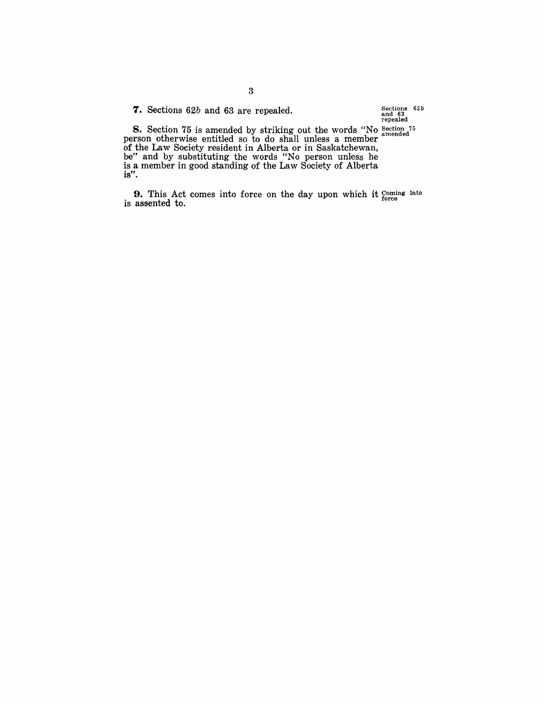| <b>7.</b> Sections 62b and 63 are repealed.                                | Sections 62b<br>and 63<br>repealed |
|----------------------------------------------------------------------------|------------------------------------|
| <b>8.</b> Section 75 is amended by striking out the words "No section $75$ |                                    |

person otherwise entitled so to do shall unless a member amended of the Law Society resident in Alberta or in Saskatchewan, be" and by substituting the words "No person unless he is a member in good standing of the Law Society of Alberta is".

**9.** This Act comes into force on the day upon which it Coming into is assented to.